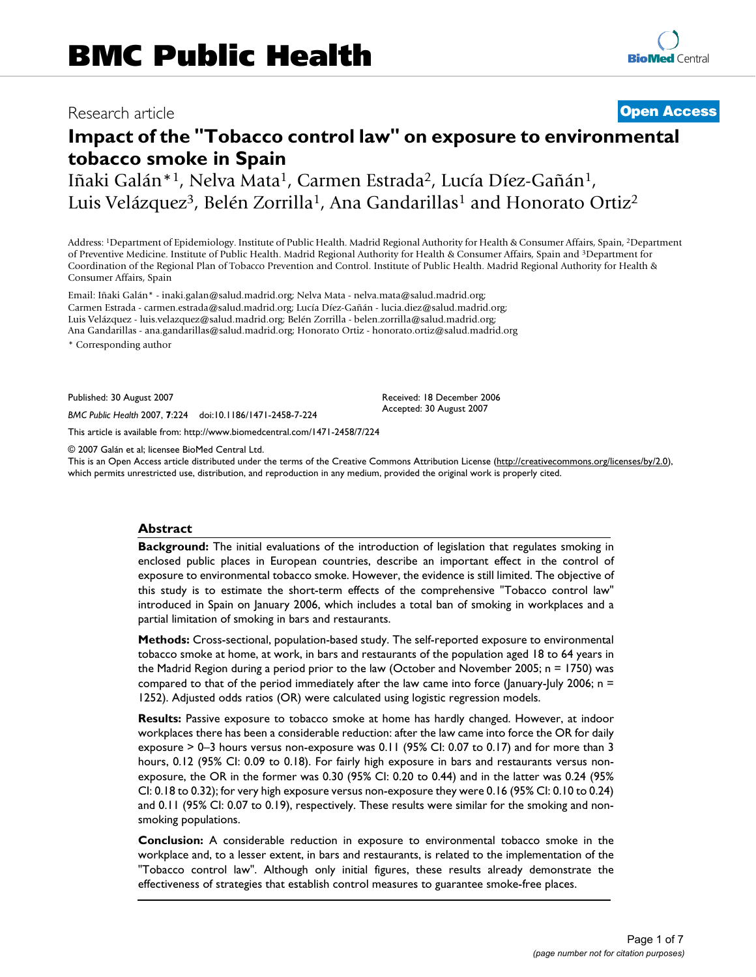# Research article **[Open Access](http://www.biomedcentral.com/info/about/charter/)**

# **Impact of the "Tobacco control law" on exposure to environmental tobacco smoke in Spain**

Iñaki Galán\*<sup>1</sup>, Nelva Mata<sup>1</sup>, Carmen Estrada<sup>2</sup>, Lucía Díez-Gañán<sup>1</sup>, Luis Velázquez<sup>3</sup>, Belén Zorrilla<sup>1</sup>, Ana Gandarillas<sup>1</sup> and Honorato Ortiz<sup>2</sup>

Address: 1Department of Epidemiology. Institute of Public Health. Madrid Regional Authority for Health & Consumer Affairs, Spain, 2Department of Preventive Medicine. Institute of Public Health. Madrid Regional Authority for Health & Consumer Affairs, Spain and 3Department for Coordination of the Regional Plan of Tobacco Prevention and Control. Institute of Public Health. Madrid Regional Authority for Health & Consumer Affairs, Spain

Email: Iñaki Galán\* - inaki.galan@salud.madrid.org; Nelva Mata - nelva.mata@salud.madrid.org; Carmen Estrada - carmen.estrada@salud.madrid.org; Lucía Díez-Gañán - lucia.diez@salud.madrid.org; Luis Velázquez - luis.velazquez@salud.madrid.org; Belén Zorrilla - belen.zorrilla@salud.madrid.org; Ana Gandarillas - ana.gandarillas@salud.madrid.org; Honorato Ortiz - honorato.ortiz@salud.madrid.org \* Corresponding author

Published: 30 August 2007

*BMC Public Health* 2007, **7**:224 doi:10.1186/1471-2458-7-224

[This article is available from: http://www.biomedcentral.com/1471-2458/7/224](http://www.biomedcentral.com/1471-2458/7/224)

© 2007 Galán et al; licensee BioMed Central Ltd.

This is an Open Access article distributed under the terms of the Creative Commons Attribution License [\(http://creativecommons.org/licenses/by/2.0\)](http://creativecommons.org/licenses/by/2.0), which permits unrestricted use, distribution, and reproduction in any medium, provided the original work is properly cited.

Received: 18 December 2006 Accepted: 30 August 2007

#### **Abstract**

**Background:** The initial evaluations of the introduction of legislation that regulates smoking in enclosed public places in European countries, describe an important effect in the control of exposure to environmental tobacco smoke. However, the evidence is still limited. The objective of this study is to estimate the short-term effects of the comprehensive "Tobacco control law" introduced in Spain on January 2006, which includes a total ban of smoking in workplaces and a partial limitation of smoking in bars and restaurants.

**Methods:** Cross-sectional, population-based study. The self-reported exposure to environmental tobacco smoke at home, at work, in bars and restaurants of the population aged 18 to 64 years in the Madrid Region during a period prior to the law (October and November 2005; n = 1750) was compared to that of the period immediately after the law came into force (January-July 2006;  $n =$ 1252). Adjusted odds ratios (OR) were calculated using logistic regression models.

**Results:** Passive exposure to tobacco smoke at home has hardly changed. However, at indoor workplaces there has been a considerable reduction: after the law came into force the OR for daily exposure > 0–3 hours versus non-exposure was 0.11 (95% CI: 0.07 to 0.17) and for more than 3 hours, 0.12 (95% CI: 0.09 to 0.18). For fairly high exposure in bars and restaurants versus nonexposure, the OR in the former was 0.30 (95% CI: 0.20 to 0.44) and in the latter was 0.24 (95% CI: 0.18 to 0.32); for very high exposure versus non-exposure they were 0.16 (95% CI: 0.10 to 0.24) and 0.11 (95% CI: 0.07 to 0.19), respectively. These results were similar for the smoking and nonsmoking populations.

**Conclusion:** A considerable reduction in exposure to environmental tobacco smoke in the workplace and, to a lesser extent, in bars and restaurants, is related to the implementation of the "Tobacco control law". Although only initial figures, these results already demonstrate the effectiveness of strategies that establish control measures to guarantee smoke-free places.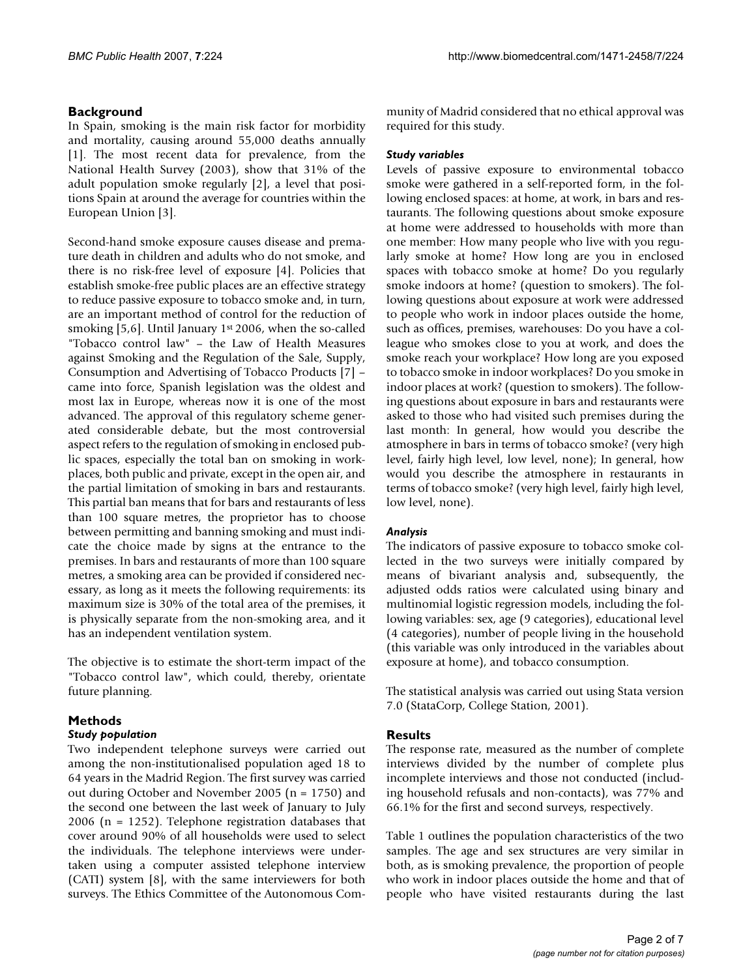# **Background**

In Spain, smoking is the main risk factor for morbidity and mortality, causing around 55,000 deaths annually [1]. The most recent data for prevalence, from the National Health Survey (2003), show that 31% of the adult population smoke regularly [2], a level that positions Spain at around the average for countries within the European Union [3].

Second-hand smoke exposure causes disease and premature death in children and adults who do not smoke, and there is no risk-free level of exposure [4]. Policies that establish smoke-free public places are an effective strategy to reduce passive exposure to tobacco smoke and, in turn, are an important method of control for the reduction of smoking [5,6]. Until January 1st 2006, when the so-called "Tobacco control law" – the Law of Health Measures against Smoking and the Regulation of the Sale, Supply, Consumption and Advertising of Tobacco Products [7] – came into force, Spanish legislation was the oldest and most lax in Europe, whereas now it is one of the most advanced. The approval of this regulatory scheme generated considerable debate, but the most controversial aspect refers to the regulation of smoking in enclosed public spaces, especially the total ban on smoking in workplaces, both public and private, except in the open air, and the partial limitation of smoking in bars and restaurants. This partial ban means that for bars and restaurants of less than 100 square metres, the proprietor has to choose between permitting and banning smoking and must indicate the choice made by signs at the entrance to the premises. In bars and restaurants of more than 100 square metres, a smoking area can be provided if considered necessary, as long as it meets the following requirements: its maximum size is 30% of the total area of the premises, it is physically separate from the non-smoking area, and it has an independent ventilation system.

The objective is to estimate the short-term impact of the "Tobacco control law", which could, thereby, orientate future planning.

# **Methods**

### *Study population*

Two independent telephone surveys were carried out among the non-institutionalised population aged 18 to 64 years in the Madrid Region. The first survey was carried out during October and November 2005 (n = 1750) and the second one between the last week of January to July 2006 (n = 1252). Telephone registration databases that cover around 90% of all households were used to select the individuals. The telephone interviews were undertaken using a computer assisted telephone interview (CATI) system [8], with the same interviewers for both surveys. The Ethics Committee of the Autonomous Community of Madrid considered that no ethical approval was required for this study.

### *Study variables*

Levels of passive exposure to environmental tobacco smoke were gathered in a self-reported form, in the following enclosed spaces: at home, at work, in bars and restaurants. The following questions about smoke exposure at home were addressed to households with more than one member: How many people who live with you regularly smoke at home? How long are you in enclosed spaces with tobacco smoke at home? Do you regularly smoke indoors at home? (question to smokers). The following questions about exposure at work were addressed to people who work in indoor places outside the home, such as offices, premises, warehouses: Do you have a colleague who smokes close to you at work, and does the smoke reach your workplace? How long are you exposed to tobacco smoke in indoor workplaces? Do you smoke in indoor places at work? (question to smokers). The following questions about exposure in bars and restaurants were asked to those who had visited such premises during the last month: In general, how would you describe the atmosphere in bars in terms of tobacco smoke? (very high level, fairly high level, low level, none); In general, how would you describe the atmosphere in restaurants in terms of tobacco smoke? (very high level, fairly high level, low level, none).

### *Analysis*

The indicators of passive exposure to tobacco smoke collected in the two surveys were initially compared by means of bivariant analysis and, subsequently, the adjusted odds ratios were calculated using binary and multinomial logistic regression models, including the following variables: sex, age (9 categories), educational level (4 categories), number of people living in the household (this variable was only introduced in the variables about exposure at home), and tobacco consumption.

The statistical analysis was carried out using Stata version 7.0 (StataCorp, College Station, 2001).

# **Results**

The response rate, measured as the number of complete interviews divided by the number of complete plus incomplete interviews and those not conducted (including household refusals and non-contacts), was 77% and 66.1% for the first and second surveys, respectively.

Table 1 outlines the population characteristics of the two samples. The age and sex structures are very similar in both, as is smoking prevalence, the proportion of people who work in indoor places outside the home and that of people who have visited restaurants during the last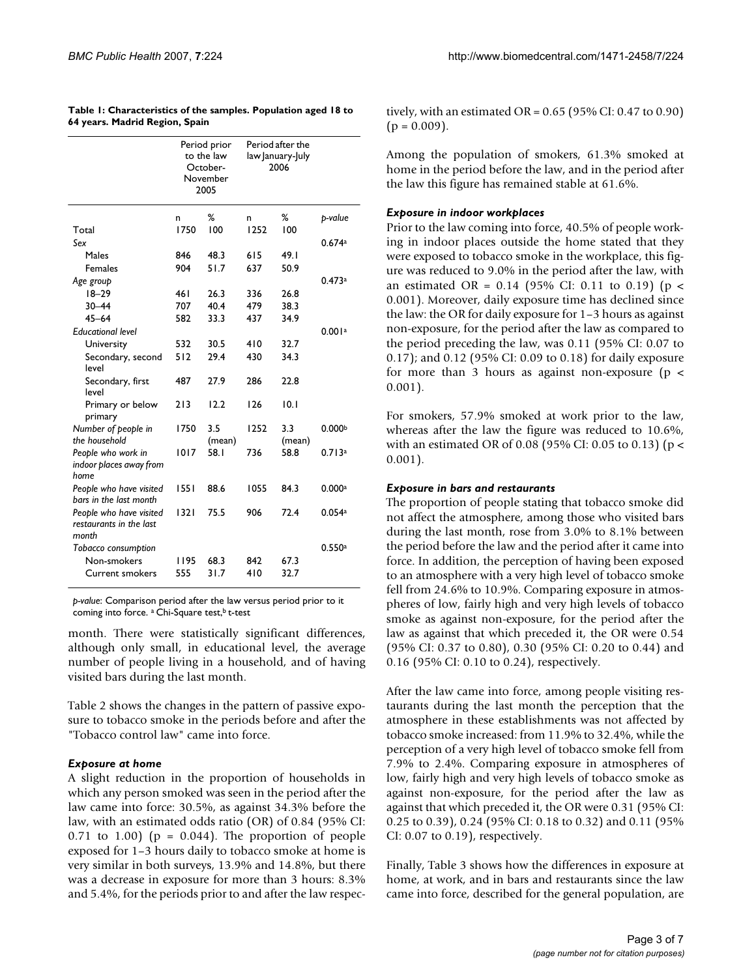|                                                             | Period prior<br>to the law<br>October-<br>November<br>2005 |               | Period after the<br>law lanuary-luly<br>2006 |               |                    |
|-------------------------------------------------------------|------------------------------------------------------------|---------------|----------------------------------------------|---------------|--------------------|
|                                                             | n                                                          | ℅             | n                                            | %             | p-value            |
| Total                                                       | 1750                                                       | 100           | 1252                                         | 100           |                    |
| Sex                                                         |                                                            |               |                                              |               | 0.674a             |
| Males                                                       | 846                                                        | 48.3          | 615                                          | 49.1          |                    |
| Females                                                     | 904                                                        | 51.7          | 637                                          | 50.9          |                    |
| Age group                                                   |                                                            |               |                                              |               | 0.473a             |
| $18 - 29$                                                   | 461                                                        | 26.3          | 336                                          | 26.8          |                    |
| $30 - 44$                                                   | 707                                                        | 40.4          | 479                                          | 38.3          |                    |
| $45 - 64$                                                   | 582                                                        | 33.3          | 437                                          | 34.9          |                    |
| <b>Educational level</b>                                    |                                                            |               |                                              |               | 0.001a             |
| University                                                  | 532                                                        | 30.5          | 410                                          | 32.7          |                    |
| Secondary, second<br>level                                  | 512                                                        | 29.4          | 430                                          | 34.3          |                    |
| Secondary, first<br>level                                   | 487                                                        | 27.9          | 286                                          | 22.8          |                    |
| Primary or below<br>primary                                 | 213                                                        | 12.2          | 126                                          | 10. I         |                    |
| Number of people in<br>the household                        | 1750                                                       | 3.5<br>(mean) | 1252                                         | 3.3<br>(mean) | 0.000 <sup>b</sup> |
| People who work in<br>indoor places away from<br>home       | 1017                                                       | 58.1          | 736                                          | 58.8          | 0.713a             |
| People who have visited<br>bars in the last month           | 1551                                                       | 88.6          | 1055                                         | 84.3          | 0.000a             |
| People who have visited<br>restaurants in the last<br>month | 1321                                                       | 75.5          | 906                                          | 72.4          | 0.054a             |
| Tobacco consumption                                         |                                                            |               |                                              |               | 0.550a             |
| Non-smokers                                                 | 1195                                                       | 68.3          | 842                                          | 67.3          |                    |
| Current smokers                                             | 555                                                        | 31.7          | 410                                          | 32.7          |                    |

**Table 1: Characteristics of the samples. Population aged 18 to 64 years. Madrid Region, Spain**

*p-value*: Comparison period after the law versus period prior to it coming into force. <sup>a</sup> Chi-Square test,<sup>b</sup> t-test

month. There were statistically significant differences, although only small, in educational level, the average number of people living in a household, and of having visited bars during the last month.

Table 2 shows the changes in the pattern of passive exposure to tobacco smoke in the periods before and after the "Tobacco control law" came into force.

#### *Exposure at home*

A slight reduction in the proportion of households in which any person smoked was seen in the period after the law came into force: 30.5%, as against 34.3% before the law, with an estimated odds ratio (OR) of 0.84 (95% CI:  $(0.71 \text{ to } 1.00)$  ( $p = 0.044$ ). The proportion of people exposed for 1–3 hours daily to tobacco smoke at home is very similar in both surveys, 13.9% and 14.8%, but there was a decrease in exposure for more than 3 hours: 8.3% and 5.4%, for the periods prior to and after the law respectively, with an estimated OR = 0.65 (95% CI: 0.47 to 0.90)  $(p = 0.009)$ .

Among the population of smokers, 61.3% smoked at home in the period before the law, and in the period after the law this figure has remained stable at 61.6%.

#### *Exposure in indoor workplaces*

Prior to the law coming into force, 40.5% of people working in indoor places outside the home stated that they were exposed to tobacco smoke in the workplace, this figure was reduced to 9.0% in the period after the law, with an estimated OR =  $0.14$  (95% CI: 0.11 to 0.19) (p < 0.001). Moreover, daily exposure time has declined since the law: the OR for daily exposure for 1–3 hours as against non-exposure, for the period after the law as compared to the period preceding the law, was 0.11 (95% CI: 0.07 to 0.17); and 0.12 (95% CI: 0.09 to 0.18) for daily exposure for more than 3 hours as against non-exposure ( $p <$ 0.001).

For smokers, 57.9% smoked at work prior to the law, whereas after the law the figure was reduced to 10.6%, with an estimated OR of 0.08 (95% CI: 0.05 to 0.13) (p < 0.001).

#### *Exposure in bars and restaurants*

The proportion of people stating that tobacco smoke did not affect the atmosphere, among those who visited bars during the last month, rose from 3.0% to 8.1% between the period before the law and the period after it came into force. In addition, the perception of having been exposed to an atmosphere with a very high level of tobacco smoke fell from 24.6% to 10.9%. Comparing exposure in atmospheres of low, fairly high and very high levels of tobacco smoke as against non-exposure, for the period after the law as against that which preceded it, the OR were 0.54 (95% CI: 0.37 to 0.80), 0.30 (95% CI: 0.20 to 0.44) and 0.16 (95% CI: 0.10 to 0.24), respectively.

After the law came into force, among people visiting restaurants during the last month the perception that the atmosphere in these establishments was not affected by tobacco smoke increased: from 11.9% to 32.4%, while the perception of a very high level of tobacco smoke fell from 7.9% to 2.4%. Comparing exposure in atmospheres of low, fairly high and very high levels of tobacco smoke as against non-exposure, for the period after the law as against that which preceded it, the OR were 0.31 (95% CI: 0.25 to 0.39), 0.24 (95% CI: 0.18 to 0.32) and 0.11 (95% CI: 0.07 to 0.19), respectively.

Finally, Table 3 shows how the differences in exposure at home, at work, and in bars and restaurants since the law came into force, described for the general population, are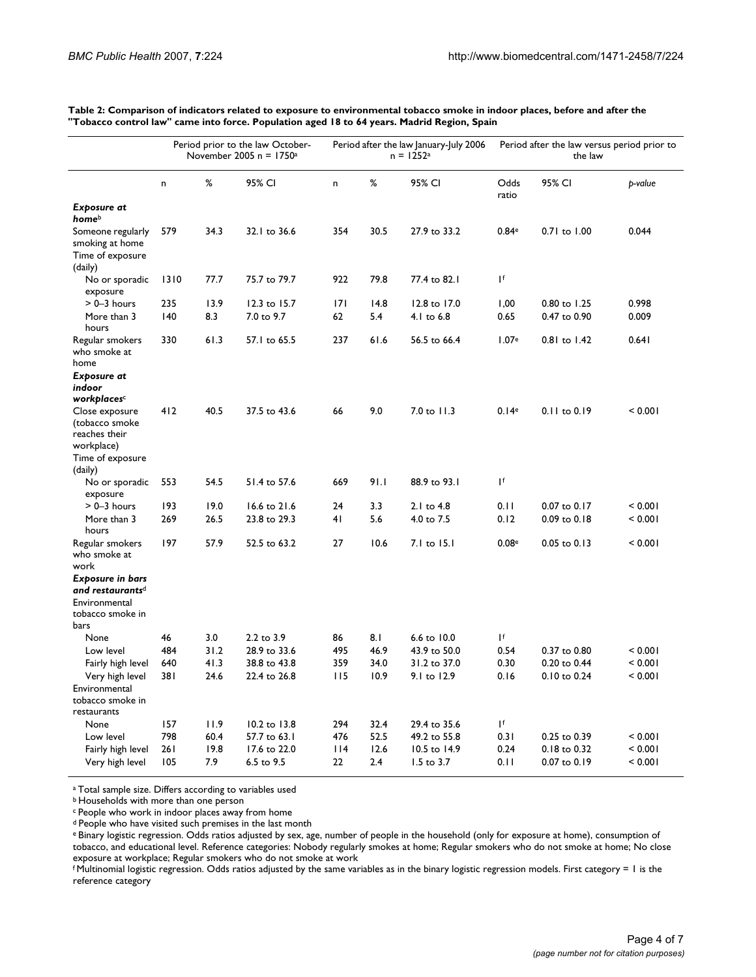|                                                                                                      | Period prior to the law October-<br>November 2005 $n = 1750^a$ |      | Period after the law January-July 2006<br>$n = 1252a$ |        |      | Period after the law versus period prior to<br>the law |                   |                  |         |
|------------------------------------------------------------------------------------------------------|----------------------------------------------------------------|------|-------------------------------------------------------|--------|------|--------------------------------------------------------|-------------------|------------------|---------|
|                                                                                                      | n.                                                             | %    | 95% CI                                                | n      | %    | 95% CI                                                 | Odds<br>ratio     | 95% CI           | p-value |
| Exposure at<br>homeb                                                                                 |                                                                |      |                                                       |        |      |                                                        |                   |                  |         |
| Someone regularly<br>smoking at home<br>Time of exposure                                             | 579                                                            | 34.3 | 32.1 to 36.6                                          | 354    | 30.5 | 27.9 to 33.2                                           | 0.84 <sup>e</sup> | 0.71 to 1.00     | 0.044   |
| (daily)<br>No or sporadic<br>exposure                                                                | 1310                                                           | 77.7 | 75.7 to 79.7                                          | 922    | 79.8 | 77.4 to 82.1                                           | f                 |                  |         |
| $> 0 - 3$ hours                                                                                      | 235                                                            | 13.9 | 12.3 to 15.7                                          | 7      | 14.8 | 12.8 to 17.0                                           | 1,00              | 0.80 to 1.25     | 0.998   |
| More than 3<br>hours                                                                                 | 140                                                            | 8.3  | 7.0 to 9.7                                            | 62     | 5.4  | 4.1 to 6.8                                             | 0.65              | 0.47 to 0.90     | 0.009   |
| Regular smokers<br>who smoke at<br>home                                                              | 330                                                            | 61.3 | 57.1 to 65.5                                          | 237    | 61.6 | 56.5 to 66.4                                           | 1.07e             | 0.81 to 1.42     | 0.641   |
| Exposure at<br>indoor<br>workplacesc                                                                 |                                                                |      |                                                       |        |      |                                                        |                   |                  |         |
| Close exposure<br>(tobacco smoke<br>reaches their<br>workplace)                                      | 412                                                            | 40.5 | 37.5 to 43.6                                          | 66     | 9.0  | 7.0 to 11.3                                            | 0.14e             | 0.11 to 0.19     | < 0.001 |
| Time of exposure<br>(daily)                                                                          |                                                                |      |                                                       |        |      |                                                        |                   |                  |         |
| No or sporadic<br>exposure                                                                           | 553                                                            | 54.5 | 51.4 to 57.6                                          | 669    | 91.1 | 88.9 to 93.1                                           | f                 |                  |         |
| $> 0 - 3$ hours                                                                                      | 193                                                            | 19.0 | 16.6 to 21.6                                          | 24     | 3.3  | 2.1 to 4.8                                             | 0.11              | 0.07 to 0.17     | < 0.001 |
| More than 3<br>hours                                                                                 | 269                                                            | 26.5 | 23.8 to 29.3                                          | 41     | 5.6  | 4.0 to 7.5                                             | 0.12              | 0.09 to 0.18     | < 0.001 |
| Regular smokers<br>who smoke at<br>work                                                              | 197                                                            | 57.9 | 52.5 to 63.2                                          | 27     | 10.6 | 7.1 to 15.1                                            | 0.08 <sub>e</sub> | $0.05$ to $0.13$ | < 0.001 |
| <b>Exposure in bars</b><br>and restaurants <sup>d</sup><br>Environmental<br>tobacco smoke in<br>bars |                                                                |      |                                                       |        |      |                                                        |                   |                  |         |
| None                                                                                                 | 46                                                             | 3.0  | 2.2 to 3.9                                            | 86     | 8.1  | 6.6 to $10.0$                                          | f                 |                  |         |
| Low level                                                                                            | 484                                                            | 31.2 | 28.9 to 33.6                                          | 495    | 46.9 | 43.9 to 50.0                                           | 0.54              | 0.37 to 0.80     | < 0.001 |
| Fairly high level                                                                                    | 640                                                            | 41.3 | 38.8 to 43.8                                          | 359    | 34.0 | 31.2 to 37.0                                           | 0.30              | 0.20 to 0.44     | < 0.001 |
| Very high level                                                                                      | 381                                                            | 24.6 | 22.4 to 26.8                                          | 115    | 10.9 | 9.1 to 12.9                                            | 0.16              | 0.10 to 0.24     | < 0.001 |
| Environmental<br>tobacco smoke in<br>restaurants                                                     |                                                                |      |                                                       |        |      |                                                        |                   |                  |         |
| None                                                                                                 | 157                                                            | 11.9 | 10.2 to 13.8                                          | 294    | 32.4 | 29.4 to 35.6                                           | f                 |                  |         |
| Low level                                                                                            | 798                                                            | 60.4 | 57.7 to 63.1                                          | 476    | 52.5 | 49.2 to 55.8                                           | 0.31              | 0.25 to 0.39     | < 0.001 |
| Fairly high level                                                                                    | 261                                                            | 19.8 | 17.6 to 22.0                                          | $ $  4 | 12.6 | 10.5 to 14.9                                           | 0.24              | 0.18 to 0.32     | < 0.001 |
| Very high level                                                                                      | 105                                                            | 7.9  | 6.5 to 9.5                                            | 22     | 2.4  | 1.5 to 3.7                                             | 0.11              | 0.07 to 0.19     | < 0.001 |

**Table 2: Comparison of indicators related to exposure to environmental tobacco smoke in indoor places, before and after the "Tobacco control law" came into force. Population aged 18 to 64 years. Madrid Region, Spain**

a Total sample size. Differs according to variables used

**b** Households with more than one person

c People who work in indoor places away from home

d People who have visited such premises in the last month

e Binary logistic regression. Odds ratios adjusted by sex, age, number of people in the household (only for exposure at home), consumption of tobacco, and educational level. Reference categories: Nobody regularly smokes at home; Regular smokers who do not smoke at home; No close exposure at workplace; Regular smokers who do not smoke at work

 $<sup>f</sup>$  Multinomial logistic regression. Odds ratios adjusted by the same variables as in the binary logistic regression models. First category = 1 is the</sup> reference category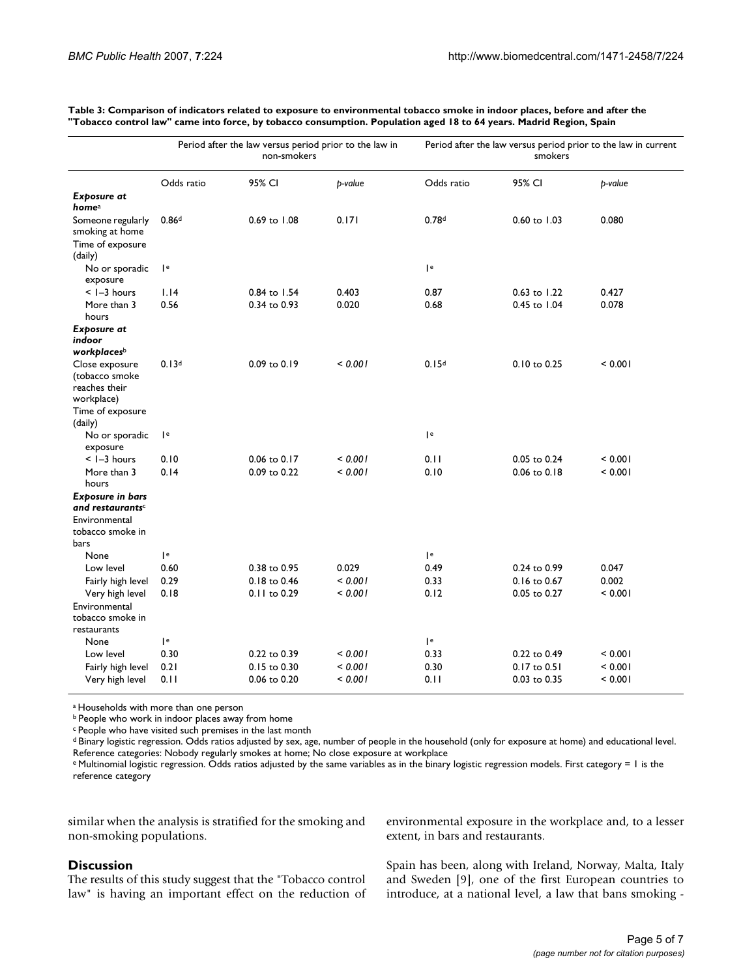|                                | Period after the law versus period prior to the law in<br>non-smokers |                  |         | Period after the law versus period prior to the law in current<br>smokers |                  |         |  |
|--------------------------------|-----------------------------------------------------------------------|------------------|---------|---------------------------------------------------------------------------|------------------|---------|--|
|                                | Odds ratio                                                            | 95% CI           | p-value | Odds ratio                                                                | 95% CI           | p-value |  |
| Exposure at                    |                                                                       |                  |         |                                                                           |                  |         |  |
| homea                          |                                                                       |                  |         |                                                                           |                  |         |  |
| Someone regularly              | 0.86d                                                                 | 0.69 to 1.08     | 0.171   | 0.78d                                                                     | 0.60 to 1.03     | 0.080   |  |
| smoking at home                |                                                                       |                  |         |                                                                           |                  |         |  |
| Time of exposure               |                                                                       |                  |         |                                                                           |                  |         |  |
| (daily)                        | $\vert$ e                                                             |                  |         | $\vert$ e                                                                 |                  |         |  |
| No or sporadic<br>exposure     |                                                                       |                  |         |                                                                           |                  |         |  |
| $<$ 1-3 hours                  | 1.14                                                                  | 0.84 to 1.54     | 0.403   | 0.87                                                                      | 0.63 to 1.22     | 0.427   |  |
| More than 3                    | 0.56                                                                  | 0.34 to 0.93     | 0.020   | 0.68                                                                      | 0.45 to 1.04     | 0.078   |  |
| hours                          |                                                                       |                  |         |                                                                           |                  |         |  |
| Exposure at<br>indoor          |                                                                       |                  |         |                                                                           |                  |         |  |
| workplacesb                    |                                                                       |                  |         |                                                                           |                  |         |  |
| Close exposure                 | 0.13 <sup>d</sup>                                                     | $0.09$ to $0.19$ | < 0.001 | 0.15 <sup>d</sup>                                                         | $0.10$ to $0.25$ | < 0.001 |  |
| (tobacco smoke                 |                                                                       |                  |         |                                                                           |                  |         |  |
| reaches their                  |                                                                       |                  |         |                                                                           |                  |         |  |
| workplace)<br>Time of exposure |                                                                       |                  |         |                                                                           |                  |         |  |
| (daily)                        |                                                                       |                  |         |                                                                           |                  |         |  |
| No or sporadic                 | $\vert$ e                                                             |                  |         | $\vert$ e                                                                 |                  |         |  |
| exposure                       |                                                                       |                  |         |                                                                           |                  |         |  |
| $<$ 1-3 hours                  | 0.10                                                                  | 0.06 to 0.17     | < 0.001 | 0.11                                                                      | 0.05 to 0.24     | < 0.001 |  |
| More than 3                    | 0.14                                                                  | 0.09 to 0.22     | < 0.001 | 0.10                                                                      | 0.06 to 0.18     | < 0.001 |  |
| hours                          |                                                                       |                  |         |                                                                           |                  |         |  |
| Exposure in bars               |                                                                       |                  |         |                                                                           |                  |         |  |
| and restaurants <sup>c</sup>   |                                                                       |                  |         |                                                                           |                  |         |  |
| Environmental                  |                                                                       |                  |         |                                                                           |                  |         |  |
| tobacco smoke in<br>bars       |                                                                       |                  |         |                                                                           |                  |         |  |
| None                           | $\vert$ e                                                             |                  |         | $\vert$ e                                                                 |                  |         |  |
| Low level                      | 0.60                                                                  | 0.38 to 0.95     | 0.029   | 0.49                                                                      | 0.24 to 0.99     | 0.047   |  |
| Fairly high level              | 0.29                                                                  | 0.18 to 0.46     | < 0.001 | 0.33                                                                      | 0.16 to 0.67     | 0.002   |  |
| Very high level                | 0.18                                                                  | 0.11 to 0.29     | < 0.001 | 0.12                                                                      | 0.05 to 0.27     | < 0.001 |  |
| Environmental                  |                                                                       |                  |         |                                                                           |                  |         |  |
| tobacco smoke in               |                                                                       |                  |         |                                                                           |                  |         |  |
| restaurants                    |                                                                       |                  |         |                                                                           |                  |         |  |
| None                           | $\vert$ e                                                             |                  |         | $\vert$ e                                                                 |                  |         |  |
| Low level                      | 0.30                                                                  | 0.22 to 0.39     | < 0.001 | 0.33                                                                      | 0.22 to 0.49     | < 0.001 |  |
| Fairly high level              | 0.21                                                                  | 0.15 to 0.30     | < 0.001 | 0.30                                                                      | 0.17 to 0.51     | < 0.001 |  |
| Very high level                | 0.11                                                                  | 0.06 to 0.20     | < 0.001 | 0.11                                                                      | 0.03 to 0.35     | < 0.001 |  |

**Table 3: Comparison of indicators related to exposure to environmental tobacco smoke in indoor places, before and after the "Tobacco control law" came into force, by tobacco consumption. Population aged 18 to 64 years. Madrid Region, Spain**

a Households with more than one person

**b People who work in indoor places away from home** 

c People who have visited such premises in the last month

d Binary logistic regression. Odds ratios adjusted by sex, age, number of people in the household (only for exposure at home) and educational level. Reference categories: Nobody regularly smokes at home; No close exposure at workplace

e Multinomial logistic regression. Odds ratios adjusted by the same variables as in the binary logistic regression models. First category = 1 is the reference category

similar when the analysis is stratified for the smoking and non-smoking populations.

#### **Discussion**

The results of this study suggest that the "Tobacco control law" is having an important effect on the reduction of environmental exposure in the workplace and, to a lesser extent, in bars and restaurants.

Spain has been, along with Ireland, Norway, Malta, Italy and Sweden [9], one of the first European countries to introduce, at a national level, a law that bans smoking -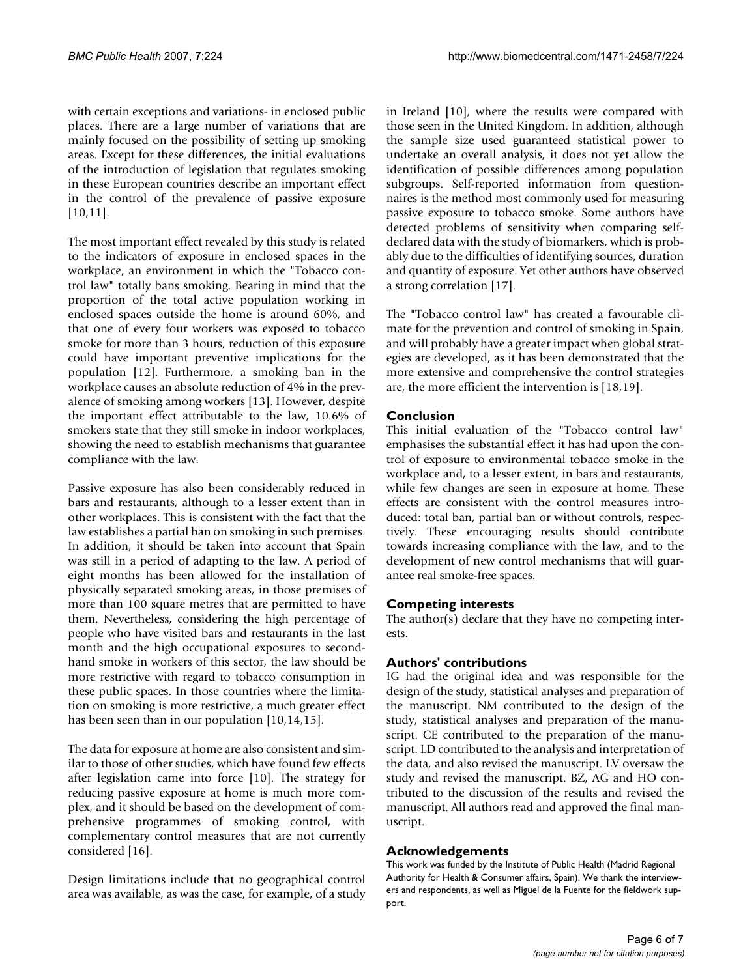with certain exceptions and variations- in enclosed public places. There are a large number of variations that are mainly focused on the possibility of setting up smoking areas. Except for these differences, the initial evaluations of the introduction of legislation that regulates smoking in these European countries describe an important effect in the control of the prevalence of passive exposure [10,11].

The most important effect revealed by this study is related to the indicators of exposure in enclosed spaces in the workplace, an environment in which the "Tobacco control law" totally bans smoking. Bearing in mind that the proportion of the total active population working in enclosed spaces outside the home is around 60%, and that one of every four workers was exposed to tobacco smoke for more than 3 hours, reduction of this exposure could have important preventive implications for the population [12]. Furthermore, a smoking ban in the workplace causes an absolute reduction of 4% in the prevalence of smoking among workers [13]. However, despite the important effect attributable to the law, 10.6% of smokers state that they still smoke in indoor workplaces, showing the need to establish mechanisms that guarantee compliance with the law.

Passive exposure has also been considerably reduced in bars and restaurants, although to a lesser extent than in other workplaces. This is consistent with the fact that the law establishes a partial ban on smoking in such premises. In addition, it should be taken into account that Spain was still in a period of adapting to the law. A period of eight months has been allowed for the installation of physically separated smoking areas, in those premises of more than 100 square metres that are permitted to have them. Nevertheless, considering the high percentage of people who have visited bars and restaurants in the last month and the high occupational exposures to secondhand smoke in workers of this sector, the law should be more restrictive with regard to tobacco consumption in these public spaces. In those countries where the limitation on smoking is more restrictive, a much greater effect has been seen than in our population [10,14,15].

The data for exposure at home are also consistent and similar to those of other studies, which have found few effects after legislation came into force [10]. The strategy for reducing passive exposure at home is much more complex, and it should be based on the development of comprehensive programmes of smoking control, with complementary control measures that are not currently considered [16].

Design limitations include that no geographical control area was available, as was the case, for example, of a study

in Ireland [10], where the results were compared with those seen in the United Kingdom. In addition, although the sample size used guaranteed statistical power to undertake an overall analysis, it does not yet allow the identification of possible differences among population subgroups. Self-reported information from questionnaires is the method most commonly used for measuring passive exposure to tobacco smoke. Some authors have detected problems of sensitivity when comparing selfdeclared data with the study of biomarkers, which is probably due to the difficulties of identifying sources, duration and quantity of exposure. Yet other authors have observed a strong correlation [17].

The "Tobacco control law" has created a favourable climate for the prevention and control of smoking in Spain, and will probably have a greater impact when global strategies are developed, as it has been demonstrated that the more extensive and comprehensive the control strategies are, the more efficient the intervention is [18,19].

# **Conclusion**

This initial evaluation of the "Tobacco control law" emphasises the substantial effect it has had upon the control of exposure to environmental tobacco smoke in the workplace and, to a lesser extent, in bars and restaurants, while few changes are seen in exposure at home. These effects are consistent with the control measures introduced: total ban, partial ban or without controls, respectively. These encouraging results should contribute towards increasing compliance with the law, and to the development of new control mechanisms that will guarantee real smoke-free spaces.

### **Competing interests**

The author(s) declare that they have no competing interests.

### **Authors' contributions**

IG had the original idea and was responsible for the design of the study, statistical analyses and preparation of the manuscript. NM contributed to the design of the study, statistical analyses and preparation of the manuscript. CE contributed to the preparation of the manuscript. LD contributed to the analysis and interpretation of the data, and also revised the manuscript. LV oversaw the study and revised the manuscript. BZ, AG and HO contributed to the discussion of the results and revised the manuscript. All authors read and approved the final manuscript.

### **Acknowledgements**

This work was funded by the Institute of Public Health (Madrid Regional Authority for Health & Consumer affairs, Spain). We thank the interviewers and respondents, as well as Miguel de la Fuente for the fieldwork support.